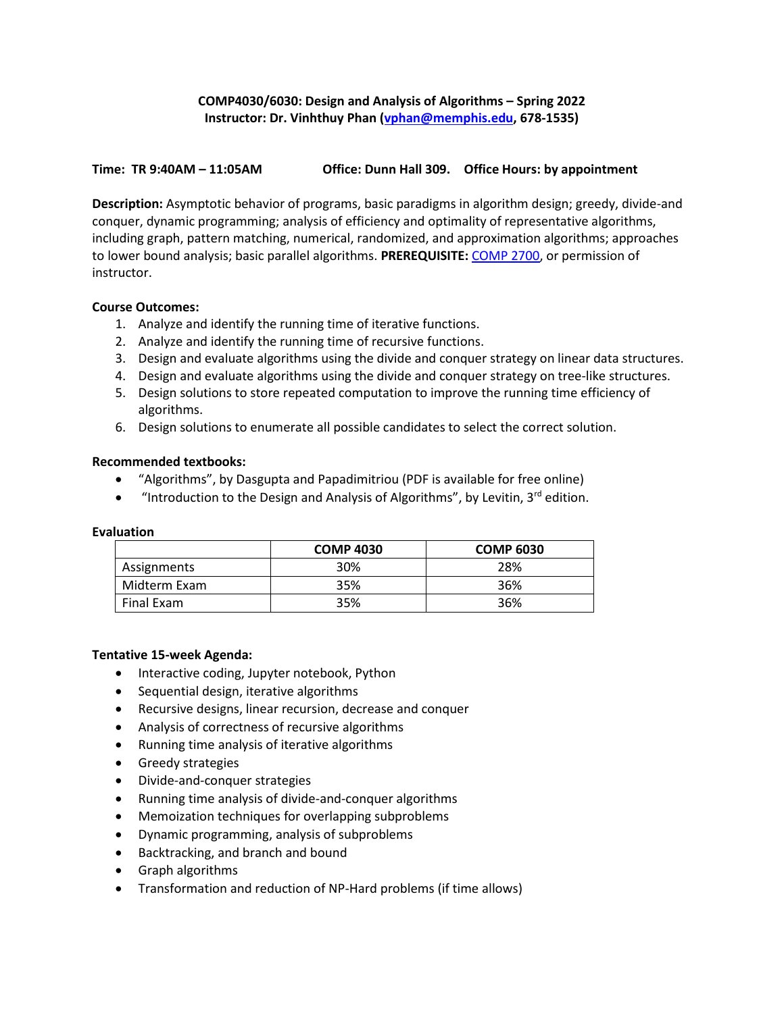# **COMP4030/6030: Design and Analysis of Algorithms – Spring 2022 Instructor: Dr. Vinhthuy Phan [\(vphan@memphis.edu,](mailto:vphan@memphis.edu) 678-1535)**

## **Time: TR 9:40AM – 11:05AM Office: Dunn Hall 309. Office Hours: by appointment**

**Description:** Asymptotic behavior of programs, basic paradigms in algorithm design; greedy, divide-and conquer, dynamic programming; analysis of efficiency and optimality of representative algorithms, including graph, pattern matching, numerical, randomized, and approximation algorithms; approaches to lower bound analysis; basic parallel algorithms. **PREREQUISITE:** [COMP 2700,](https://catalog.memphis.edu/content.php?filter%5B27%5D=COMP&filter%5B29%5D=&filter%5Bcourse_type%5D=-1&filter%5Bkeyword%5D=&filter%5B32%5D=1&filter%5Bcpage%5D=1&cur_cat_oid=14&expand=&navoid=531&search_database=Filter#tt9029) or permission of instructor.

## **Course Outcomes:**

- 1. Analyze and identify the running time of iterative functions.
- 2. Analyze and identify the running time of recursive functions.
- 3. Design and evaluate algorithms using the divide and conquer strategy on linear data structures.
- 4. Design and evaluate algorithms using the divide and conquer strategy on tree-like structures.
- 5. Design solutions to store repeated computation to improve the running time efficiency of algorithms.
- 6. Design solutions to enumerate all possible candidates to select the correct solution.

## **Recommended textbooks:**

- "Algorithms", by Dasgupta and Papadimitriou (PDF is available for free online)
- "Introduction to the Design and Analysis of Algorithms", by Levitin,  $3^{rd}$  edition.

#### **Evaluation**

|              | <b>COMP 4030</b> | <b>COMP 6030</b> |
|--------------|------------------|------------------|
| Assignments  | 30%              | 28%              |
| Midterm Exam | 35%              | 36%              |
| Final Exam   | 35%              | 36%              |

## **Tentative 15-week Agenda:**

- Interactive coding, Jupyter notebook, Python
- Sequential design, iterative algorithms
- Recursive designs, linear recursion, decrease and conquer
- Analysis of correctness of recursive algorithms
- Running time analysis of iterative algorithms
- Greedy strategies
- Divide-and-conquer strategies
- Running time analysis of divide-and-conquer algorithms
- Memoization techniques for overlapping subproblems
- Dynamic programming, analysis of subproblems
- Backtracking, and branch and bound
- Graph algorithms
- Transformation and reduction of NP-Hard problems (if time allows)